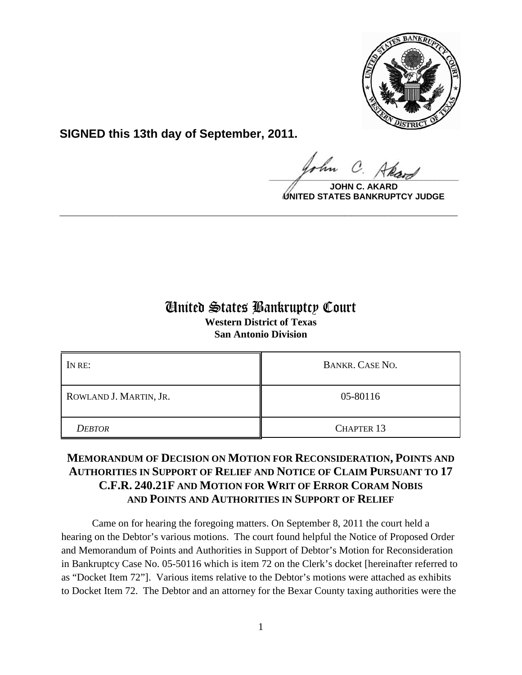

**SIGNED this 13th day of September, 2011.**

 $\frac{1}{\sqrt{1-\frac{1}{2}}\sqrt{1-\frac{1}{2}}\sqrt{1-\frac{1}{2}}\sqrt{1-\frac{1}{2}}\sqrt{1-\frac{1}{2}}\sqrt{1-\frac{1}{2}}\sqrt{1-\frac{1}{2}}\sqrt{1-\frac{1}{2}}\sqrt{1-\frac{1}{2}}\sqrt{1-\frac{1}{2}}\sqrt{1-\frac{1}{2}}\sqrt{1-\frac{1}{2}}\sqrt{1-\frac{1}{2}}\sqrt{1-\frac{1}{2}}\sqrt{1-\frac{1}{2}}\sqrt{1-\frac{1}{2}}\sqrt{1-\frac{1}{2}}\sqrt{1-\frac{1}{2}}\sqrt{1-\frac{1}{2}}\sqrt{1-\frac$ 

**JOHN C. AKARD UNITED STATES BANKRUPTCY JUDGE**

# United States Bankruptcy Court

**\_\_\_\_\_\_\_\_\_\_\_\_\_\_\_\_\_\_\_\_\_\_\_\_\_\_\_\_\_\_\_\_\_\_\_\_\_\_\_\_\_\_\_\_\_\_\_\_\_\_\_\_\_\_\_\_\_\_\_\_**

**Western District of Texas San Antonio Division**

| IN RE:                 | <b>BANKR. CASE NO.</b> |
|------------------------|------------------------|
| ROWLAND J. MARTIN, JR. | 05-80116               |
| <b>DEBTOR</b>          | <b>CHAPTER 13</b>      |

## **MEMORANDUM OF DECISION ON MOTION FOR RECONSIDERATION, POINTS AND AUTHORITIES IN SUPPORT OF RELIEF AND NOTICE OF CLAIM PURSUANT TO 17 C.F.R. 240.21F AND MOTION FOR WRIT OF ERROR CORAM NOBIS AND POINTS AND AUTHORITIES IN SUPPORT OF RELIEF**

Came on for hearing the foregoing matters. On September 8, 2011 the court held a hearing on the Debtor's various motions. The court found helpful the Notice of Proposed Order and Memorandum of Points and Authorities in Support of Debtor's Motion for Reconsideration in Bankruptcy Case No. 05-50116 which is item 72 on the Clerk's docket [hereinafter referred to as "Docket Item 72"]. Various items relative to the Debtor's motions were attached as exhibits to Docket Item 72. The Debtor and an attorney for the Bexar County taxing authorities were the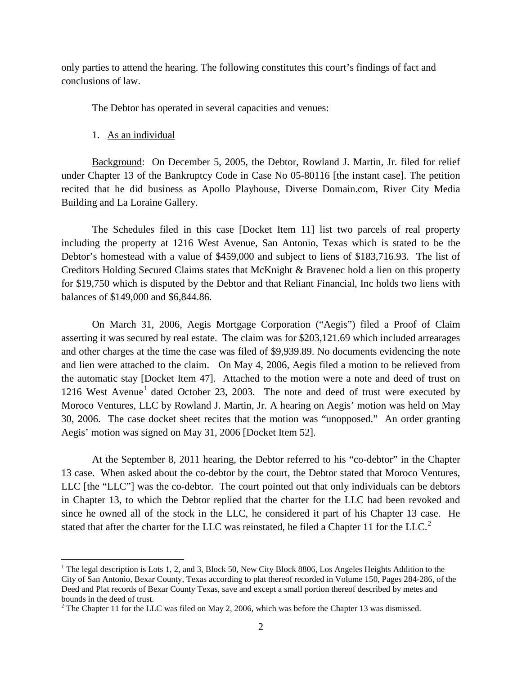only parties to attend the hearing. The following constitutes this court's findings of fact and conclusions of law.

The Debtor has operated in several capacities and venues:

1. As an individual

Background: On December 5, 2005, the Debtor, Rowland J. Martin, Jr. filed for relief under Chapter 13 of the Bankruptcy Code in Case No 05-80116 [the instant case]. The petition recited that he did business as Apollo Playhouse, Diverse Domain.com, River City Media Building and La Loraine Gallery.

The Schedules filed in this case [Docket Item 11] list two parcels of real property including the property at 1216 West Avenue, San Antonio, Texas which is stated to be the Debtor's homestead with a value of \$459,000 and subject to liens of \$183,716.93. The list of Creditors Holding Secured Claims states that McKnight & Bravenec hold a lien on this property for \$19,750 which is disputed by the Debtor and that Reliant Financial, Inc holds two liens with balances of \$149,000 and \$6,844.86.

On March 31, 2006, Aegis Mortgage Corporation ("Aegis") filed a Proof of Claim asserting it was secured by real estate. The claim was for \$203,121.69 which included arrearages and other charges at the time the case was filed of \$9,939.89. No documents evidencing the note and lien were attached to the claim. On May 4, 2006, Aegis filed a motion to be relieved from the automatic stay [Docket Item 47]. Attached to the motion were a note and deed of trust on [1](#page-1-0)216 West Avenue<sup>1</sup> dated October 23, 2003. The note and deed of trust were executed by Moroco Ventures, LLC by Rowland J. Martin, Jr. A hearing on Aegis' motion was held on May 30, 2006. The case docket sheet recites that the motion was "unopposed." An order granting Aegis' motion was signed on May 31, 2006 [Docket Item 52].

At the September 8, 2011 hearing, the Debtor referred to his "co-debtor" in the Chapter 13 case. When asked about the co-debtor by the court, the Debtor stated that Moroco Ventures, LLC [the "LLC"] was the co-debtor. The court pointed out that only individuals can be debtors in Chapter 13, to which the Debtor replied that the charter for the LLC had been revoked and since he owned all of the stock in the LLC, he considered it part of his Chapter 13 case. He stated that after the charter for the LLC was reinstated, he filed a Chapter 11 for the LLC.<sup>[2](#page-1-1)</sup>

<span id="page-1-0"></span><sup>&</sup>lt;sup>1</sup> The legal description is Lots 1, 2, and 3, Block 50, New City Block 8806, Los Angeles Heights Addition to the City of San Antonio, Bexar County, Texas according to plat thereof recorded in Volume 150, Pages 284-286, of the Deed and Plat records of Bexar County Texas, save and except a small portion thereof described by metes and bounds in the deed of trust.

<span id="page-1-1"></span> $2$  The Chapter 11 for the LLC was filed on May 2, 2006, which was before the Chapter 13 was dismissed.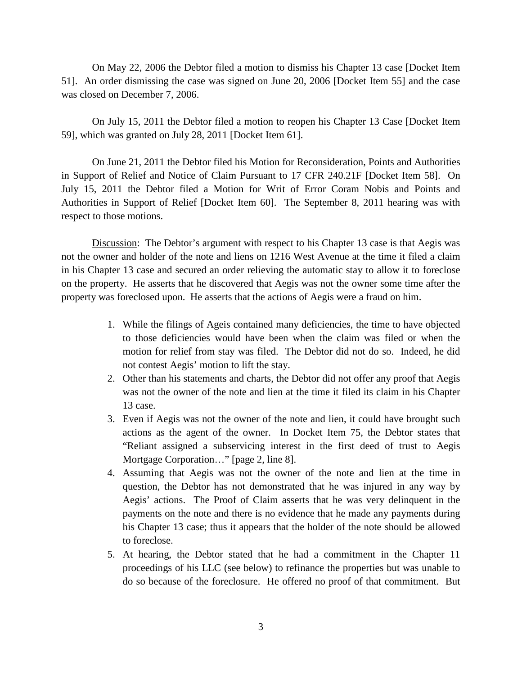On May 22, 2006 the Debtor filed a motion to dismiss his Chapter 13 case [Docket Item 51]. An order dismissing the case was signed on June 20, 2006 [Docket Item 55] and the case was closed on December 7, 2006.

On July 15, 2011 the Debtor filed a motion to reopen his Chapter 13 Case [Docket Item 59], which was granted on July 28, 2011 [Docket Item 61].

On June 21, 2011 the Debtor filed his Motion for Reconsideration, Points and Authorities in Support of Relief and Notice of Claim Pursuant to 17 CFR 240.21F [Docket Item 58]. On July 15, 2011 the Debtor filed a Motion for Writ of Error Coram Nobis and Points and Authorities in Support of Relief [Docket Item 60]. The September 8, 2011 hearing was with respect to those motions.

Discussion: The Debtor's argument with respect to his Chapter 13 case is that Aegis was not the owner and holder of the note and liens on 1216 West Avenue at the time it filed a claim in his Chapter 13 case and secured an order relieving the automatic stay to allow it to foreclose on the property. He asserts that he discovered that Aegis was not the owner some time after the property was foreclosed upon. He asserts that the actions of Aegis were a fraud on him.

- 1. While the filings of Ageis contained many deficiencies, the time to have objected to those deficiencies would have been when the claim was filed or when the motion for relief from stay was filed. The Debtor did not do so. Indeed, he did not contest Aegis' motion to lift the stay.
- 2. Other than his statements and charts, the Debtor did not offer any proof that Aegis was not the owner of the note and lien at the time it filed its claim in his Chapter 13 case.
- 3. Even if Aegis was not the owner of the note and lien, it could have brought such actions as the agent of the owner. In Docket Item 75, the Debtor states that "Reliant assigned a subservicing interest in the first deed of trust to Aegis Mortgage Corporation…" [page 2, line 8].
- 4. Assuming that Aegis was not the owner of the note and lien at the time in question, the Debtor has not demonstrated that he was injured in any way by Aegis' actions. The Proof of Claim asserts that he was very delinquent in the payments on the note and there is no evidence that he made any payments during his Chapter 13 case; thus it appears that the holder of the note should be allowed to foreclose.
- 5. At hearing, the Debtor stated that he had a commitment in the Chapter 11 proceedings of his LLC (see below) to refinance the properties but was unable to do so because of the foreclosure. He offered no proof of that commitment. But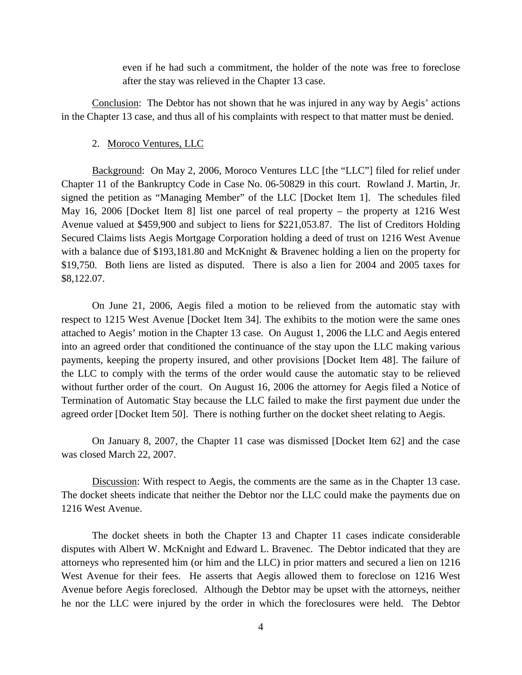even if he had such a commitment, the holder of the note was free to foreclose after the stay was relieved in the Chapter 13 case.

Conclusion: The Debtor has not shown that he was injured in any way by Aegis' actions in the Chapter 13 case, and thus all of his complaints with respect to that matter must be denied.

## 2. Moroco Ventures, LLC

Background: On May 2, 2006, Moroco Ventures LLC [the "LLC"] filed for relief under Chapter 11 of the Bankruptcy Code in Case No. 06-50829 in this court. Rowland J. Martin, Jr. signed the petition as "Managing Member" of the LLC [Docket Item 1]. The schedules filed May 16, 2006 [Docket Item 8] list one parcel of real property – the property at 1216 West Avenue valued at \$459,900 and subject to liens for \$221,053.87. The list of Creditors Holding Secured Claims lists Aegis Mortgage Corporation holding a deed of trust on 1216 West Avenue with a balance due of \$193,181.80 and McKnight & Bravenec holding a lien on the property for \$19,750. Both liens are listed as disputed. There is also a lien for 2004 and 2005 taxes for \$8,122.07.

On June 21, 2006, Aegis filed a motion to be relieved from the automatic stay with respect to 1215 West Avenue [Docket Item 34]. The exhibits to the motion were the same ones attached to Aegis' motion in the Chapter 13 case. On August 1, 2006 the LLC and Aegis entered into an agreed order that conditioned the continuance of the stay upon the LLC making various payments, keeping the property insured, and other provisions [Docket Item 48]. The failure of the LLC to comply with the terms of the order would cause the automatic stay to be relieved without further order of the court. On August 16, 2006 the attorney for Aegis filed a Notice of Termination of Automatic Stay because the LLC failed to make the first payment due under the agreed order [Docket Item 50]. There is nothing further on the docket sheet relating to Aegis.

On January 8, 2007, the Chapter 11 case was dismissed [Docket Item 62] and the case was closed March 22, 2007.

Discussion: With respect to Aegis, the comments are the same as in the Chapter 13 case. The docket sheets indicate that neither the Debtor nor the LLC could make the payments due on 1216 West Avenue.

The docket sheets in both the Chapter 13 and Chapter 11 cases indicate considerable disputes with Albert W. McKnight and Edward L. Bravenec. The Debtor indicated that they are attorneys who represented him (or him and the LLC) in prior matters and secured a lien on 1216 West Avenue for their fees. He asserts that Aegis allowed them to foreclose on 1216 West Avenue before Aegis foreclosed. Although the Debtor may be upset with the attorneys, neither he nor the LLC were injured by the order in which the foreclosures were held. The Debtor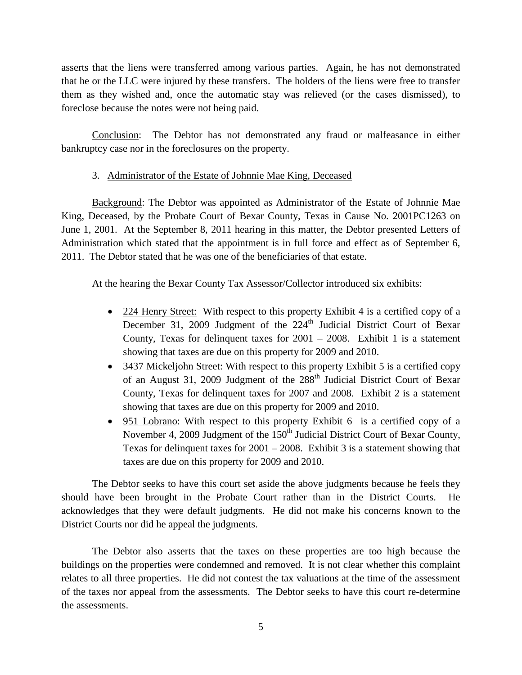asserts that the liens were transferred among various parties. Again, he has not demonstrated that he or the LLC were injured by these transfers. The holders of the liens were free to transfer them as they wished and, once the automatic stay was relieved (or the cases dismissed), to foreclose because the notes were not being paid.

Conclusion: The Debtor has not demonstrated any fraud or malfeasance in either bankruptcy case nor in the foreclosures on the property.

## 3. Administrator of the Estate of Johnnie Mae King, Deceased

Background: The Debtor was appointed as Administrator of the Estate of Johnnie Mae King, Deceased, by the Probate Court of Bexar County, Texas in Cause No. 2001PC1263 on June 1, 2001. At the September 8, 2011 hearing in this matter, the Debtor presented Letters of Administration which stated that the appointment is in full force and effect as of September 6, 2011. The Debtor stated that he was one of the beneficiaries of that estate.

At the hearing the Bexar County Tax Assessor/Collector introduced six exhibits:

- 224 Henry Street: With respect to this property Exhibit 4 is a certified copy of a December 31, 2009 Judgment of the 224<sup>th</sup> Judicial District Court of Bexar County, Texas for delinquent taxes for  $2001 - 2008$ . Exhibit 1 is a statement showing that taxes are due on this property for 2009 and 2010.
- 3437 Mickeljohn Street: With respect to this property Exhibit 5 is a certified copy of an August 31, 2009 Judgment of the 288<sup>th</sup> Judicial District Court of Bexar County, Texas for delinquent taxes for 2007 and 2008. Exhibit 2 is a statement showing that taxes are due on this property for 2009 and 2010.
- 951 Lobrano: With respect to this property Exhibit 6 is a certified copy of a November 4, 2009 Judgment of the 150<sup>th</sup> Judicial District Court of Bexar County, Texas for delinquent taxes for  $2001 - 2008$ . Exhibit 3 is a statement showing that taxes are due on this property for 2009 and 2010.

The Debtor seeks to have this court set aside the above judgments because he feels they should have been brought in the Probate Court rather than in the District Courts. acknowledges that they were default judgments. He did not make his concerns known to the District Courts nor did he appeal the judgments.

The Debtor also asserts that the taxes on these properties are too high because the buildings on the properties were condemned and removed. It is not clear whether this complaint relates to all three properties. He did not contest the tax valuations at the time of the assessment of the taxes nor appeal from the assessments. The Debtor seeks to have this court re-determine the assessments.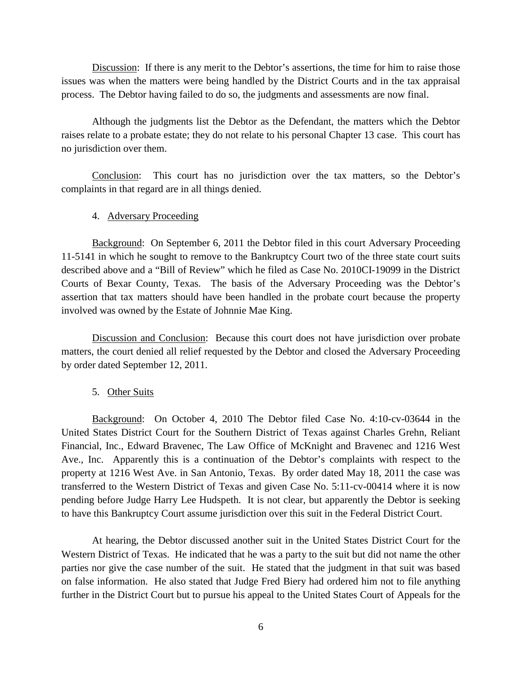Discussion: If there is any merit to the Debtor's assertions, the time for him to raise those issues was when the matters were being handled by the District Courts and in the tax appraisal process. The Debtor having failed to do so, the judgments and assessments are now final.

Although the judgments list the Debtor as the Defendant, the matters which the Debtor raises relate to a probate estate; they do not relate to his personal Chapter 13 case. This court has no jurisdiction over them.

Conclusion: This court has no jurisdiction over the tax matters, so the Debtor's complaints in that regard are in all things denied.

## 4. Adversary Proceeding

Background: On September 6, 2011 the Debtor filed in this court Adversary Proceeding 11-5141 in which he sought to remove to the Bankruptcy Court two of the three state court suits described above and a "Bill of Review" which he filed as Case No. 2010CI-19099 in the District Courts of Bexar County, Texas. The basis of the Adversary Proceeding was the Debtor's assertion that tax matters should have been handled in the probate court because the property involved was owned by the Estate of Johnnie Mae King.

Discussion and Conclusion: Because this court does not have jurisdiction over probate matters, the court denied all relief requested by the Debtor and closed the Adversary Proceeding by order dated September 12, 2011.

### 5. Other Suits

Background: On October 4, 2010 The Debtor filed Case No. 4:10-cv-03644 in the United States District Court for the Southern District of Texas against Charles Grehn, Reliant Financial, Inc., Edward Bravenec, The Law Office of McKnight and Bravenec and 1216 West Ave., Inc. Apparently this is a continuation of the Debtor's complaints with respect to the property at 1216 West Ave. in San Antonio, Texas. By order dated May 18, 2011 the case was transferred to the Western District of Texas and given Case No. 5:11-cv-00414 where it is now pending before Judge Harry Lee Hudspeth. It is not clear, but apparently the Debtor is seeking to have this Bankruptcy Court assume jurisdiction over this suit in the Federal District Court.

At hearing, the Debtor discussed another suit in the United States District Court for the Western District of Texas. He indicated that he was a party to the suit but did not name the other parties nor give the case number of the suit. He stated that the judgment in that suit was based on false information. He also stated that Judge Fred Biery had ordered him not to file anything further in the District Court but to pursue his appeal to the United States Court of Appeals for the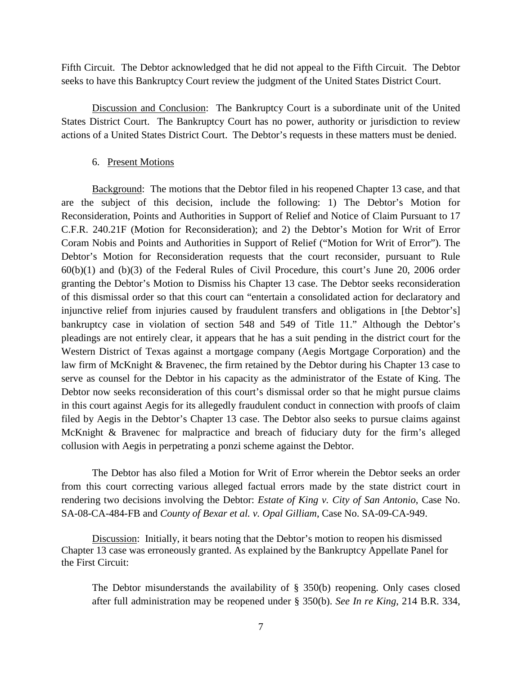Fifth Circuit. The Debtor acknowledged that he did not appeal to the Fifth Circuit. The Debtor seeks to have this Bankruptcy Court review the judgment of the United States District Court.

Discussion and Conclusion: The Bankruptcy Court is a subordinate unit of the United States District Court. The Bankruptcy Court has no power, authority or jurisdiction to review actions of a United States District Court. The Debtor's requests in these matters must be denied.

### 6. Present Motions

Background: The motions that the Debtor filed in his reopened Chapter 13 case, and that are the subject of this decision, include the following: 1) The Debtor's Motion for Reconsideration, Points and Authorities in Support of Relief and Notice of Claim Pursuant to 17 C.F.R. 240.21F (Motion for Reconsideration); and 2) the Debtor's Motion for Writ of Error Coram Nobis and Points and Authorities in Support of Relief ("Motion for Writ of Error"). The Debtor's Motion for Reconsideration requests that the court reconsider, pursuant to Rule 60(b)(1) and (b)(3) of the Federal Rules of Civil Procedure, this court's June 20, 2006 order granting the Debtor's Motion to Dismiss his Chapter 13 case. The Debtor seeks reconsideration of this dismissal order so that this court can "entertain a consolidated action for declaratory and injunctive relief from injuries caused by fraudulent transfers and obligations in [the Debtor's] bankruptcy case in violation of section 548 and 549 of Title 11." Although the Debtor's pleadings are not entirely clear, it appears that he has a suit pending in the district court for the Western District of Texas against a mortgage company (Aegis Mortgage Corporation) and the law firm of McKnight & Bravenec, the firm retained by the Debtor during his Chapter 13 case to serve as counsel for the Debtor in his capacity as the administrator of the Estate of King. The Debtor now seeks reconsideration of this court's dismissal order so that he might pursue claims in this court against Aegis for its allegedly fraudulent conduct in connection with proofs of claim filed by Aegis in the Debtor's Chapter 13 case. The Debtor also seeks to pursue claims against McKnight & Bravenec for malpractice and breach of fiduciary duty for the firm's alleged collusion with Aegis in perpetrating a ponzi scheme against the Debtor.

The Debtor has also filed a Motion for Writ of Error wherein the Debtor seeks an order from this court correcting various alleged factual errors made by the state district court in rendering two decisions involving the Debtor: *Estate of King v. City of San Antonio*, Case No. SA-08-CA-484-FB and *County of Bexar et al. v. Opal Gilliam*, Case No. SA-09-CA-949.

Discussion: Initially, it bears noting that the Debtor's motion to reopen his dismissed Chapter 13 case was erroneously granted. As explained by the Bankruptcy Appellate Panel for the First Circuit:

The Debtor misunderstands the availability of § 350(b) reopening. Only cases closed after full administration may be reopened under § 350(b). *See In re King*, 214 B.R. 334,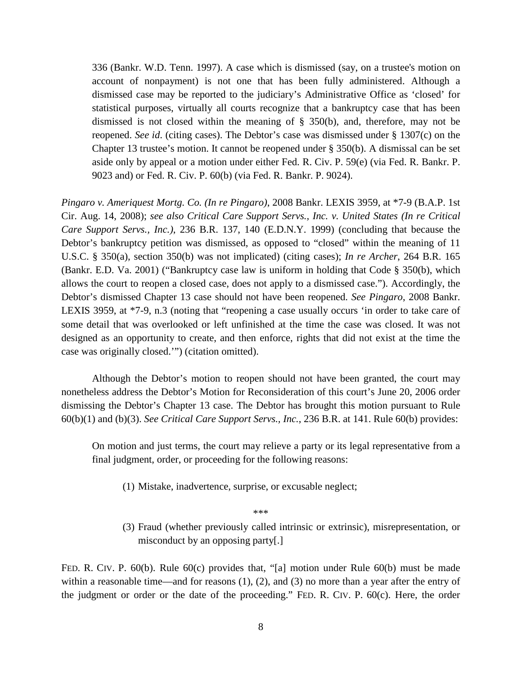336 (Bankr. W.D. Tenn. 1997). A case which is dismissed (say, on a trustee's motion on account of nonpayment) is not one that has been fully administered. Although a dismissed case may be reported to the judiciary's Administrative Office as 'closed' for statistical purposes, virtually all courts recognize that a bankruptcy case that has been dismissed is not closed within the meaning of § 350(b), and, therefore, may not be reopened. *See id*. (citing cases). The Debtor's case was dismissed under § 1307(c) on the Chapter 13 trustee's motion. It cannot be reopened under § 350(b). A dismissal can be set aside only by appeal or a motion under either Fed. R. Civ. P. 59(e) (via Fed. R. Bankr. P. 9023 and) or Fed. R. Civ. P. 60(b) (via Fed. R. Bankr. P. 9024).

*Pingaro v. Ameriquest Mortg. Co. (In re Pingaro)*, 2008 Bankr. LEXIS 3959, at \*7-9 (B.A.P. 1st Cir. Aug. 14, 2008); *see also Critical Care Support Servs., Inc. v. United States (In re Critical Care Support Servs., Inc.)*, 236 B.R. 137, 140 (E.D.N.Y. 1999) (concluding that because the Debtor's bankruptcy petition was dismissed, as opposed to "closed" within the meaning of 11 U.S.C. § 350(a), section 350(b) was not implicated) (citing cases); *In re Archer*, 264 B.R. 165 (Bankr. E.D. Va. 2001) ("Bankruptcy case law is uniform in holding that Code § 350(b), which allows the court to reopen a closed case, does not apply to a dismissed case."). Accordingly, the Debtor's dismissed Chapter 13 case should not have been reopened. *See Pingaro*, 2008 Bankr. LEXIS 3959, at \*7-9, n.3 (noting that "reopening a case usually occurs 'in order to take care of some detail that was overlooked or left unfinished at the time the case was closed. It was not designed as an opportunity to create, and then enforce, rights that did not exist at the time the case was originally closed.'") (citation omitted).

Although the Debtor's motion to reopen should not have been granted, the court may nonetheless address the Debtor's Motion for Reconsideration of this court's June 20, 2006 order dismissing the Debtor's Chapter 13 case. The Debtor has brought this motion pursuant to Rule 60(b)(1) and (b)(3). *See Critical Care Support Servs., Inc.*, 236 B.R. at 141. Rule 60(b) provides:

On motion and just terms, the court may relieve a party or its legal representative from a final judgment, order, or proceeding for the following reasons:

(1) Mistake, inadvertence, surprise, or excusable neglect;

\*\*\*

(3) Fraud (whether previously called intrinsic or extrinsic), misrepresentation, or misconduct by an opposing party[.]

FED. R. CIV. P. 60(b). Rule 60(c) provides that, "[a] motion under Rule 60(b) must be made within a reasonable time—and for reasons (1), (2), and (3) no more than a year after the entry of the judgment or order or the date of the proceeding." FED. R. CIV. P. 60(c). Here, the order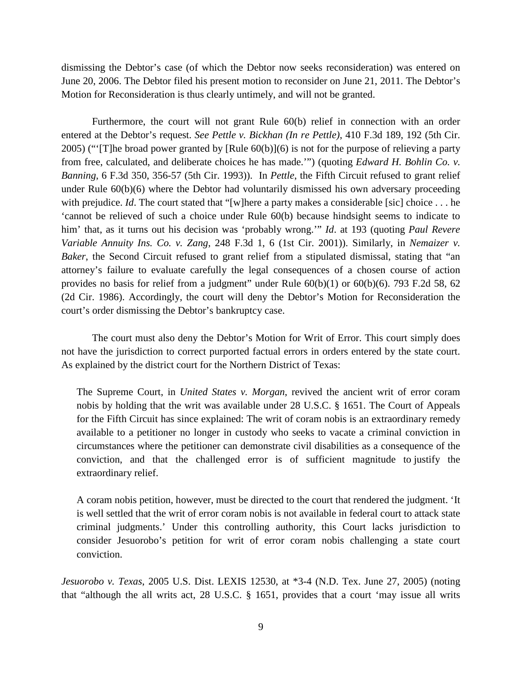dismissing the Debtor's case (of which the Debtor now seeks reconsideration) was entered on June 20, 2006. The Debtor filed his present motion to reconsider on June 21, 2011. The Debtor's Motion for Reconsideration is thus clearly untimely, and will not be granted.

Furthermore, the court will not grant Rule 60(b) relief in connection with an order entered at the Debtor's request. *See Pettle v. Bickhan (In re Pettle)*, 410 F.3d 189, 192 (5th Cir. 2005) ("'[T]he broad power granted by [Rule 60(b)](6) is not for the purpose of relieving a party from free, calculated, and deliberate choices he has made.'") (quoting *Edward H. Bohlin Co. v. Banning*, 6 F.3d 350, 356-57 (5th Cir. 1993)). In *Pettle*, the Fifth Circuit refused to grant relief under Rule  $60(b)(6)$  where the Debtor had voluntarily dismissed his own adversary proceeding with prejudice. *Id*. The court stated that "[w]here a party makes a considerable [sic] choice . . . he 'cannot be relieved of such a choice under Rule 60(b) because hindsight seems to indicate to him' that, as it turns out his decision was 'probably wrong.'" *Id*. at 193 (quoting *Paul Revere Variable Annuity Ins. Co. v. Zang*, 248 F.3d 1, 6 (1st Cir. 2001)). Similarly, in *Nemaizer v. Baker*, the Second Circuit refused to grant relief from a stipulated dismissal, stating that "an attorney's failure to evaluate carefully the legal consequences of a chosen course of action provides no basis for relief from a judgment" under Rule  $60(b)(1)$  or  $60(b)(6)$ . 793 F.2d 58, 62 (2d Cir. 1986). Accordingly, the court will deny the Debtor's Motion for Reconsideration the court's order dismissing the Debtor's bankruptcy case.

The court must also deny the Debtor's Motion for Writ of Error. This court simply does not have the jurisdiction to correct purported factual errors in orders entered by the state court. As explained by the district court for the Northern District of Texas:

The Supreme Court, in *United States v. Morgan*, revived the ancient writ of error coram nobis by holding that the writ was available under 28 U.S.C. § 1651. The Court of Appeals for the Fifth Circuit has since explained: The writ of coram nobis is an extraordinary remedy available to a petitioner no longer in custody who seeks to vacate a criminal conviction in circumstances where the petitioner can demonstrate civil disabilities as a consequence of the conviction, and that the challenged error is of sufficient magnitude to justify the extraordinary relief.

A coram nobis petition, however, must be directed to the court that rendered the judgment. 'It is well settled that the writ of error coram nobis is not available in federal court to attack state criminal judgments.' Under this controlling authority, this Court lacks jurisdiction to consider Jesuorobo's petition for writ of error coram nobis challenging a state court conviction.

*Jesuorobo v. Texas*, 2005 U.S. Dist. LEXIS 12530, at \*3-4 (N.D. Tex. June 27, 2005) (noting that "although the all writs act, 28 U.S.C. § 1651, provides that a court 'may issue all writs